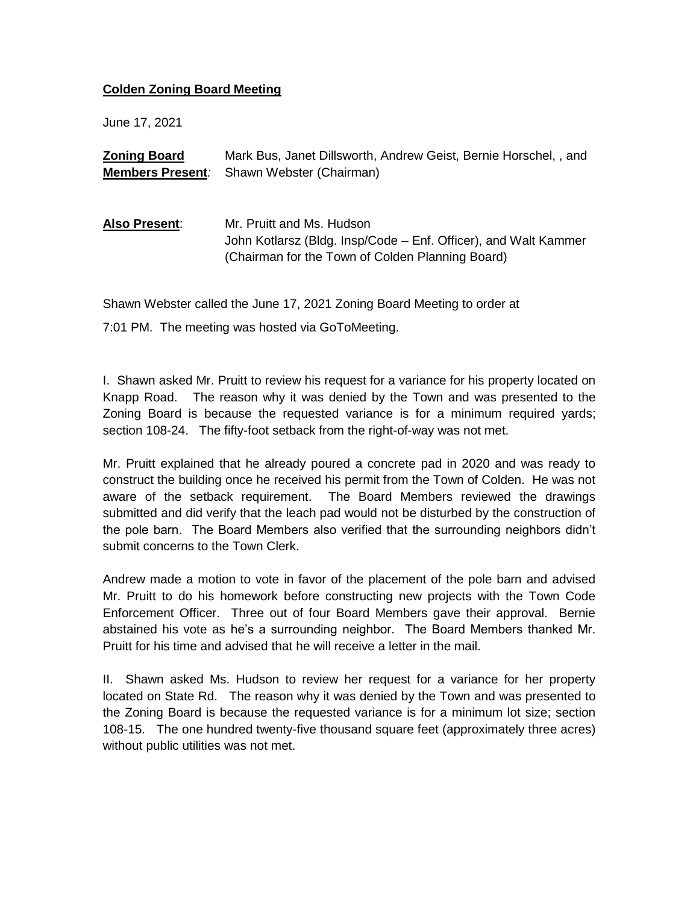## **Colden Zoning Board Meeting**

June 17, 2021

| <b>Zoning Board</b>     | Mark Bus, Janet Dillsworth, Andrew Geist, Bernie Horschel, , and                                                                                 |
|-------------------------|--------------------------------------------------------------------------------------------------------------------------------------------------|
| <b>Members Present:</b> | Shawn Webster (Chairman)                                                                                                                         |
|                         |                                                                                                                                                  |
| Also Present:           | Mr. Pruitt and Ms. Hudson<br>John Kotlarsz (Bldg. Insp/Code – Enf. Officer), and Walt Kammer<br>(Chairman for the Town of Colden Planning Board) |

Shawn Webster called the June 17, 2021 Zoning Board Meeting to order at

7:01 PM. The meeting was hosted via GoToMeeting.

I. Shawn asked Mr. Pruitt to review his request for a variance for his property located on Knapp Road. The reason why it was denied by the Town and was presented to the Zoning Board is because the requested variance is for a minimum required yards; section 108-24. The fifty-foot setback from the right-of-way was not met.

Mr. Pruitt explained that he already poured a concrete pad in 2020 and was ready to construct the building once he received his permit from the Town of Colden. He was not aware of the setback requirement. The Board Members reviewed the drawings submitted and did verify that the leach pad would not be disturbed by the construction of the pole barn. The Board Members also verified that the surrounding neighbors didn't submit concerns to the Town Clerk.

Andrew made a motion to vote in favor of the placement of the pole barn and advised Mr. Pruitt to do his homework before constructing new projects with the Town Code Enforcement Officer. Three out of four Board Members gave their approval. Bernie abstained his vote as he's a surrounding neighbor. The Board Members thanked Mr. Pruitt for his time and advised that he will receive a letter in the mail.

II. Shawn asked Ms. Hudson to review her request for a variance for her property located on State Rd. The reason why it was denied by the Town and was presented to the Zoning Board is because the requested variance is for a minimum lot size; section 108-15. The one hundred twenty-five thousand square feet (approximately three acres) without public utilities was not met.